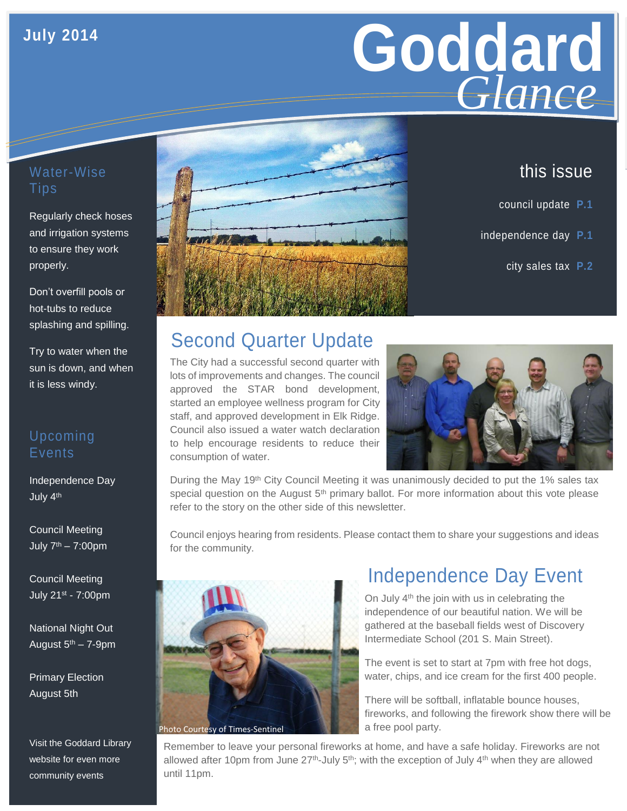## **July 2014**

# Goddard **Giance** *Glance*

## Water-Wise Tips

Regularly check hoses and irrigation systems to ensure they work properly.

Don't overfill pools or hot-tubs to reduce splashing and spilling.

Try to water when the sun is down, and when it is less windy.

### Upcoming **Events**

Independence Day July 4th

Council Meeting July  $7<sup>th</sup> - 7:00$ pm

Council Meeting July 21st - 7:00pm

National Night Out August  $5<sup>th</sup> - 7-9$ pm

Primary Election August 5th

Visit the Goddard Library website for even more community events



## this issue

- council update **P.1**
- independence day **P.1**
	- city sales tax **P.2**

# Second Quarter Update

The City had a successful second quarter with lots of improvements and changes. The council approved the STAR bond development, started an employee wellness program for City staff, and approved development in Elk Ridge. Council also issued a water watch declaration to help encourage residents to reduce their consumption of water.



During the May 19<sup>th</sup> City Council Meeting it was unanimously decided to put the 1% sales tax special question on the August  $5<sup>th</sup>$  primary ballot. For more information about this vote please refer to the story on the other side of this newsletter.

Council enjoys hearing from residents. Please contact them to share your suggestions and ideas for the community.



## Independence Day Event

On July 4<sup>th</sup> the join with us in celebrating the independence of our beautiful nation. We will be gathered at the baseball fields west of Discovery Intermediate School (201 S. Main Street).

The event is set to start at 7pm with free hot dogs, water, chips, and ice cream for the first 400 people.

There will be softball, inflatable bounce houses, fireworks, and following the firework show there will be a free pool party.

Remember to leave your personal fireworks at home, and have a safe holiday. Fireworks are not allowed after 10pm from June  $27<sup>th</sup>$ -July 5<sup>th</sup>; with the exception of July 4<sup>th</sup> when they are allowed until 11pm.